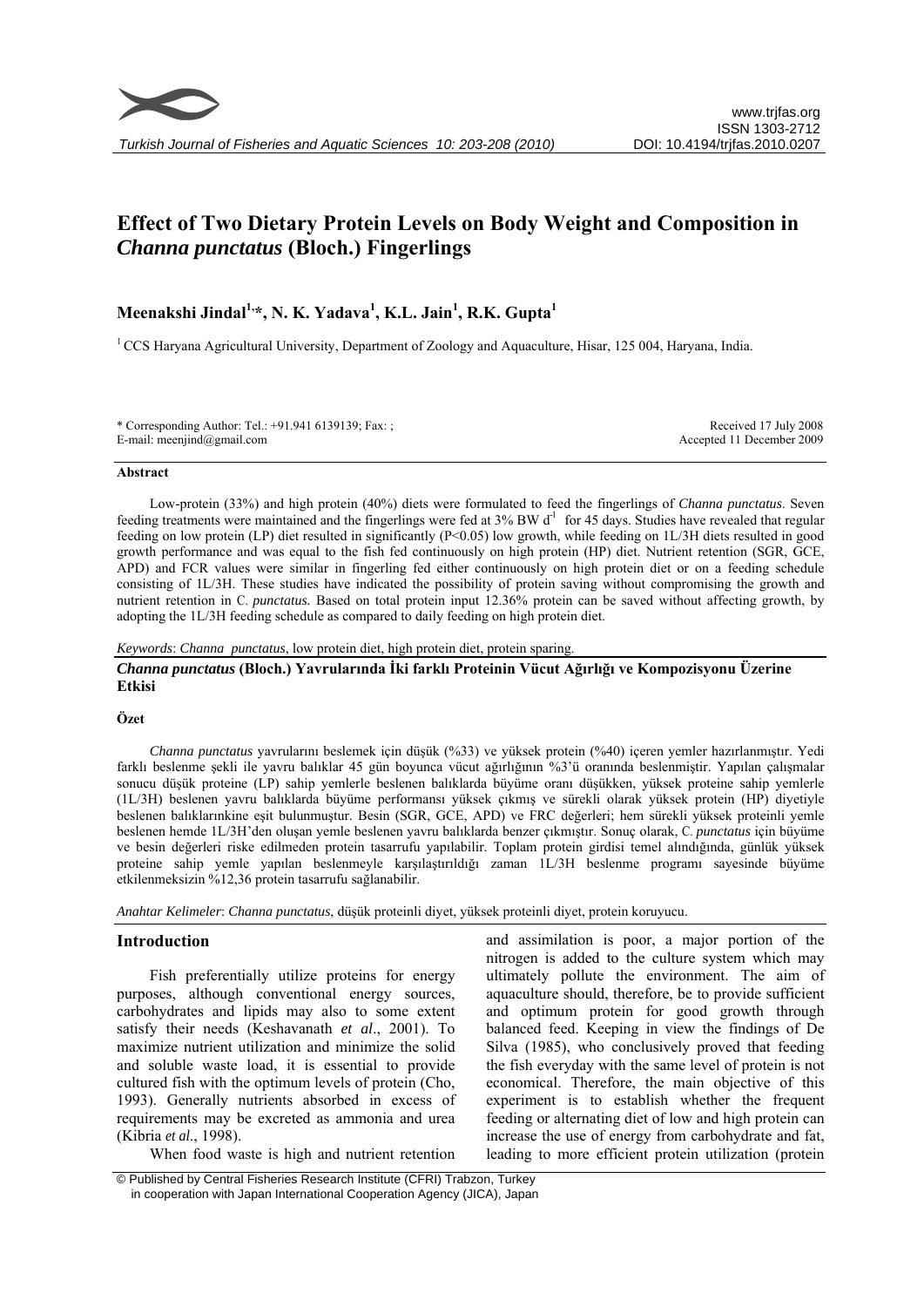

# **Effect of Two Dietary Protein Levels on Body Weight and Composition in**  *Channa punctatus* **(Bloch.) Fingerlings**

**Meenakshi Jindal1,\*, N. K. Yadava1 , K.L. Jain<sup>1</sup> , R.K. Gupta<sup>1</sup>**

<sup>1</sup> CCS Haryana Agricultural University, Department of Zoology and Aquaculture, Hisar, 125 004, Haryana, India.

\* Corresponding Author: Tel.: +91.941 6139139; Fax: ; E-mail: meenjind@gmail.com

Received 17 July 2008 Accepted 11 December 2009

#### **Abstract**

Low-protein (33%) and high protein (40%) diets were formulated to feed the fingerlings of *Channa punctatus*. Seven feeding treatments were maintained and the fingerlings were fed at  $3\%$  BW d<sup>-1</sup> for 45 days. Studies have revealed that regular feeding on low protein (LP) diet resulted in significantly (P<0.05) low growth, while feeding on 1L/3H diets resulted in good growth performance and was equal to the fish fed continuously on high protein (HP) diet. Nutrient retention (SGR, GCE, APD) and FCR values were similar in fingerling fed either continuously on high protein diet or on a feeding schedule consisting of 1L/3H. These studies have indicated the possibility of protein saving without compromising the growth and nutrient retention in C. *punctatus.* Based on total protein input 12.36% protein can be saved without affecting growth, by adopting the 1L/3H feeding schedule as compared to daily feeding on high protein diet.

#### *Keywords*: *Channa punctatus*, low protein diet, high protein diet, protein sparing.

# *Channa punctatus* **(Bloch.) Yavrularında İki farklı Proteinin Vücut Ağırlığı ve Kompozisyonu Üzerine Etkisi**

#### **Özet**

*Channa punctatus* yavrularını beslemek için düşük (%33) ve yüksek protein (%40) içeren yemler hazırlanmıştır. Yedi farklı beslenme şekli ile yavru balıklar 45 gün boyunca vücut ağırlığının %3'ü oranında beslenmiştir. Yapılan çalışmalar sonucu düşük proteine (LP) sahip yemlerle beslenen balıklarda büyüme oranı düşükken, yüksek proteine sahip yemlerle (1L/3H) beslenen yavru balıklarda büyüme performansı yüksek çıkmış ve sürekli olarak yüksek protein (HP) diyetiyle beslenen balıklarınkine eşit bulunmuştur. Besin (SGR, GCE, APD) ve FRC değerleri; hem sürekli yüksek proteinli yemle beslenen hemde 1L/3H'den oluşan yemle beslenen yavru balıklarda benzer çıkmıştır. Sonuç olarak, C. *punctatus* için büyüme ve besin değerleri riske edilmeden protein tasarrufu yapılabilir. Toplam protein girdisi temel alındığında, günlük yüksek proteine sahip yemle yapılan beslenmeyle karşılaştırıldığı zaman 1L/3H beslenme programı sayesinde büyüme etkilenmeksizin %12,36 protein tasarrufu sağlanabilir.

*Anahtar Kelimeler*: *Channa punctatus*, düşük proteinli diyet, yüksek proteinli diyet, protein koruyucu.

# **Introduction**

Fish preferentially utilize proteins for energy purposes, although conventional energy sources, carbohydrates and lipids may also to some extent satisfy their needs (Keshavanath *et al*., 2001). To maximize nutrient utilization and minimize the solid and soluble waste load, it is essential to provide cultured fish with the optimum levels of protein (Cho, 1993). Generally nutrients absorbed in excess of requirements may be excreted as ammonia and urea (Kibria *et al*., 1998).

When food waste is high and nutrient retention

and assimilation is poor, a major portion of the nitrogen is added to the culture system which may ultimately pollute the environment. The aim of aquaculture should, therefore, be to provide sufficient and optimum protein for good growth through balanced feed. Keeping in view the findings of De Silva (1985), who conclusively proved that feeding the fish everyday with the same level of protein is not economical. Therefore, the main objective of this experiment is to establish whether the frequent feeding or alternating diet of low and high protein can increase the use of energy from carbohydrate and fat, leading to more efficient protein utilization (protein

 © Published by Central Fisheries Research Institute (CFRI) Trabzon, Turkey in cooperation with Japan International Cooperation Agency (JICA), Japan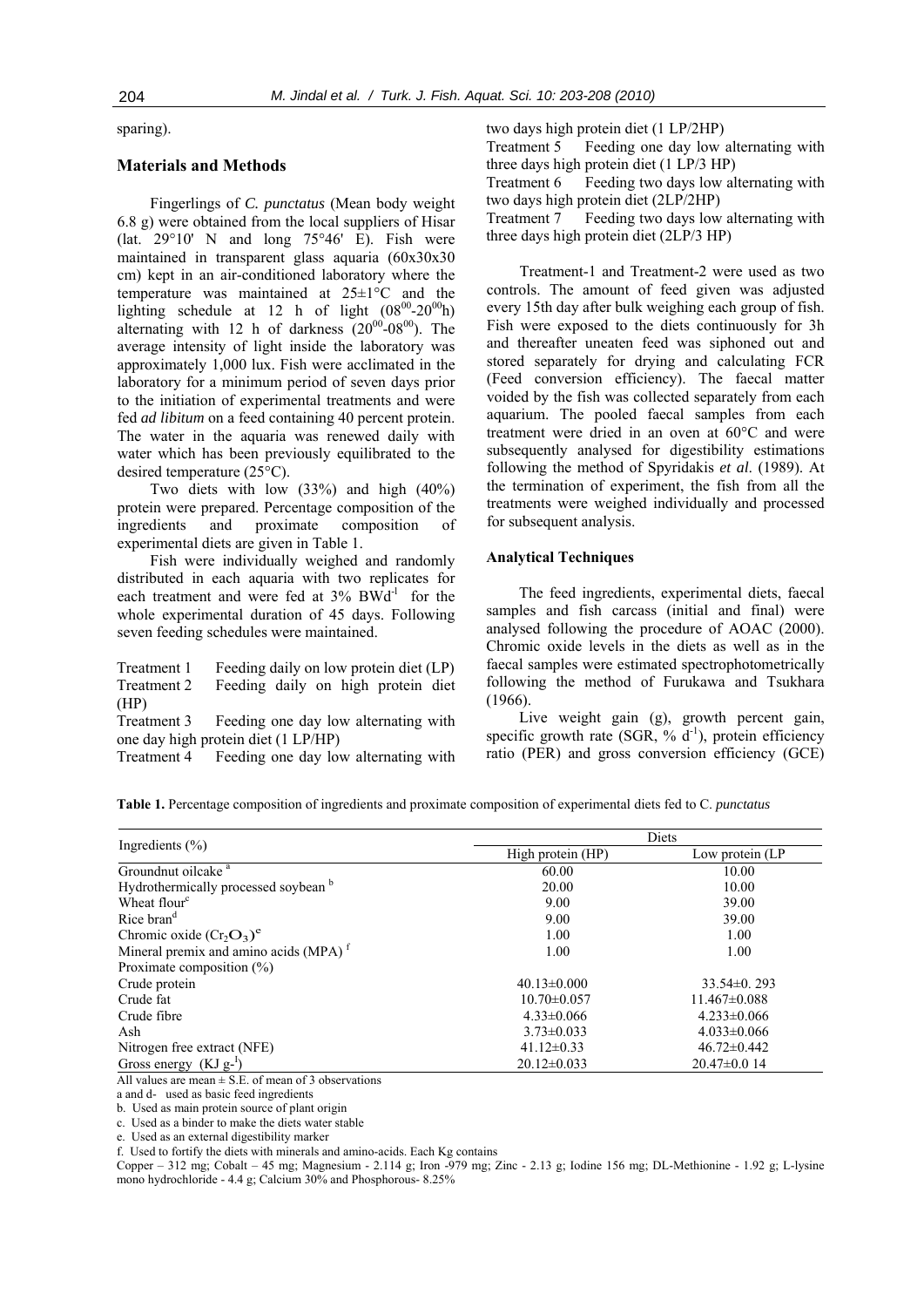sparing).

# **Materials and Methods**

Fingerlings of *C. punctatus* (Mean body weight 6.8 g) were obtained from the local suppliers of Hisar (lat.  $29^{\circ}10'$  N and long  $75^{\circ}46'$  E). Fish were maintained in transparent glass aquaria (60x30x30 cm) kept in an air-conditioned laboratory where the temperature was maintained at 25±1°C and the lighting schedule at 12 h of light  $(08^{00} - 20^{00})$ alternating with 12 h of darkness  $(20^{00} - 08^{00})$ . The average intensity of light inside the laboratory was approximately 1,000 lux. Fish were acclimated in the laboratory for a minimum period of seven days prior to the initiation of experimental treatments and were fed *ad libitum* on a feed containing 40 percent protein. The water in the aquaria was renewed daily with water which has been previously equilibrated to the desired temperature (25°C).

Two diets with low (33%) and high (40%) protein were prepared. Percentage composition of the ingredients and proximate composition of experimental diets are given in Table 1.

Fish were individually weighed and randomly distributed in each aquaria with two replicates for each treatment and were fed at  $3\%$  BWd<sup>-1</sup> for the whole experimental duration of 45 days. Following seven feeding schedules were maintained.

Treatment 1 Feeding daily on low protein diet (LP) Treatment 2 Feeding daily on high protein diet (HP)

Treatment 3 Feeding one day low alternating with one day high protein diet (1 LP/HP)

Treatment 4 Feeding one day low alternating with

two days high protein diet (1 LP/2HP) Treatment 5 Feeding one day low alternating with three days high protein diet (1 LP/3 HP) Treatment 6 Feeding two days low alternating with two days high protein diet (2LP/2HP) Treatment 7 Feeding two days low alternating with three days high protein diet (2LP/3 HP)

Treatment-1 and Treatment-2 were used as two controls. The amount of feed given was adjusted every 15th day after bulk weighing each group of fish. Fish were exposed to the diets continuously for 3h and thereafter uneaten feed was siphoned out and stored separately for drying and calculating FCR (Feed conversion efficiency). The faecal matter voided by the fish was collected separately from each aquarium. The pooled faecal samples from each treatment were dried in an oven at 60°C and were subsequently analysed for digestibility estimations following the method of Spyridakis *et al*. (1989). At the termination of experiment, the fish from all the treatments were weighed individually and processed for subsequent analysis.

## **Analytical Techniques**

The feed ingredients, experimental diets, faecal samples and fish carcass (initial and final) were analysed following the procedure of AOAC (2000). Chromic oxide levels in the diets as well as in the faecal samples were estimated spectrophotometrically following the method of Furukawa and Tsukhara (1966).

Live weight gain (g), growth percent gain, specific growth rate (SGR,  $\%$  d<sup>-1</sup>), protein efficiency ratio (PER) and gross conversion efficiency (GCE)

| Table 1. Percentage composition of ingredients and proximate composition of experimental diets fed to C. punctatus |  |  |  |  |
|--------------------------------------------------------------------------------------------------------------------|--|--|--|--|
|                                                                                                                    |  |  |  |  |

|                                                   | Diets             |                   |  |  |  |
|---------------------------------------------------|-------------------|-------------------|--|--|--|
| Ingredients $(\% )$                               | High protein (HP) | Low protein (LP)  |  |  |  |
| Groundnut oilcake <sup>a</sup>                    | 60.00             | 10.00             |  |  |  |
| Hydrothermically processed soybean b              | 20.00             | 10.00             |  |  |  |
| Wheat flour <sup>c</sup>                          | 9.00              | 39.00             |  |  |  |
| Rice bran <sup>d</sup>                            | 9.00              | 39.00             |  |  |  |
| Chromic oxide $(Cr_2O_3)^e$                       | 1.00              | 1.00              |  |  |  |
| Mineral premix and amino acids (MPA) <sup>f</sup> | 1.00              | 1.00              |  |  |  |
| Proximate composition $(\% )$                     |                   |                   |  |  |  |
| Crude protein                                     | $40.13 \pm 0.000$ | $33.54\pm0.293$   |  |  |  |
| Crude fat                                         | $10.70 \pm 0.057$ | $11.467\pm0.088$  |  |  |  |
| Crude fibre                                       | $4.33 \pm 0.066$  | $4.233 \pm 0.066$ |  |  |  |
| Ash                                               | $3.73 \pm 0.033$  | $4.033 \pm 0.066$ |  |  |  |
| Nitrogen free extract (NFE)                       | $41.12\pm0.33$    | $46.72 \pm 0.442$ |  |  |  |
| Gross energy $(KJg-1)$                            | $20.12 \pm 0.033$ | $20.47\pm0.014$   |  |  |  |

All values are mean  $\pm$  S.E. of mean of 3 observations

a and d- used as basic feed ingredients

b. Used as main protein source of plant origin

c. Used as a binder to make the diets water stable

e. Used as an external digestibility marker

f. Used to fortify the diets with minerals and amino-acids. Each Kg contains

Copper – 312 mg; Cobalt – 45 mg; Magnesium - 2.114 g; Iron -979 mg; Zinc - 2.13 g; Iodine 156 mg; DL-Methionine - 1.92 g; L-lysine mono hydrochloride - 4.4 g; Calcium 30% and Phosphorous- 8.25%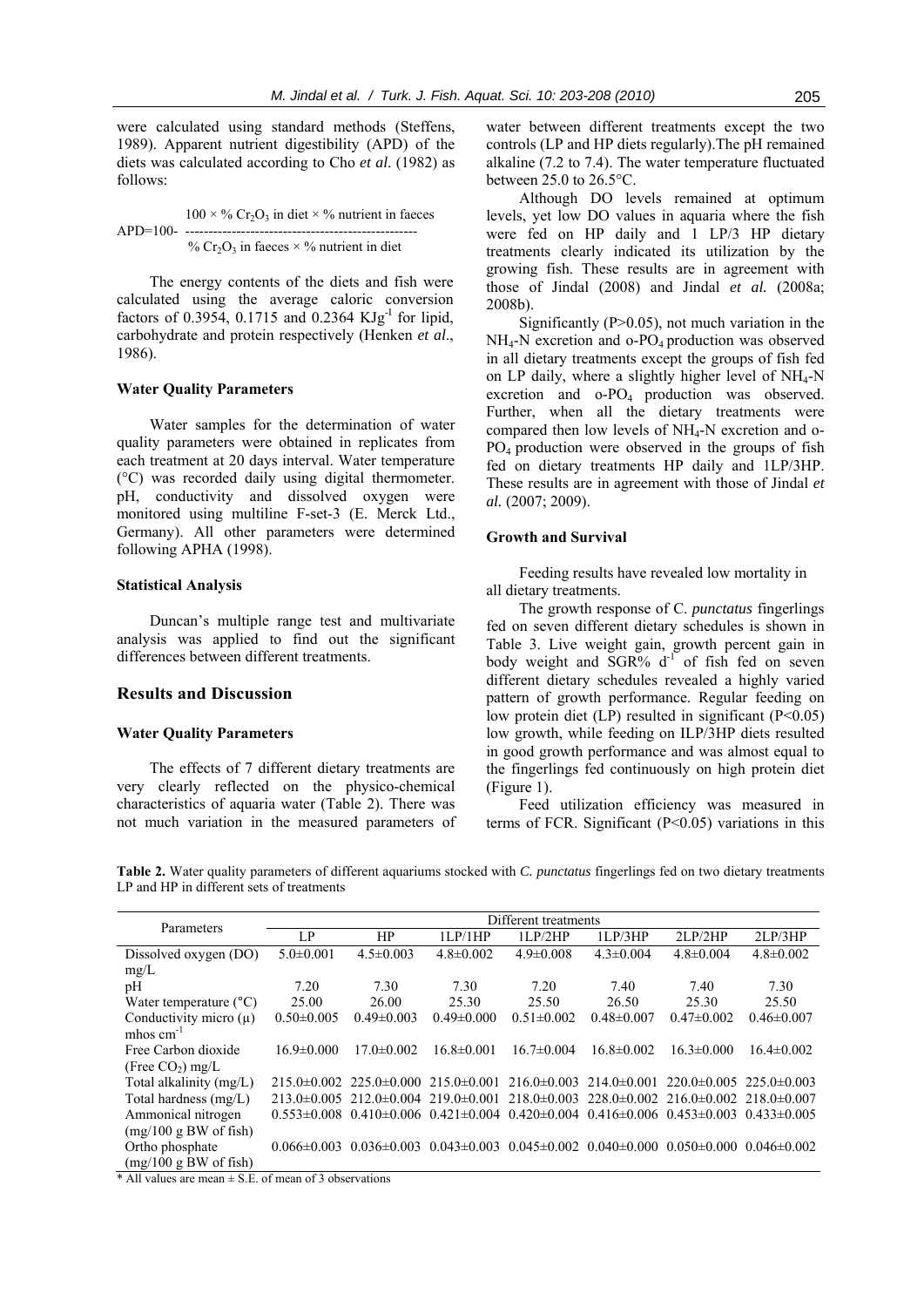were calculated using standard methods (Steffens, 1989). Apparent nutrient digestibility (APD) of the diets was calculated according to Cho *et al*. (1982) as follows:

 $100 \times \%$  Cr<sub>2</sub>O<sub>3</sub> in diet  $\times \%$  nutrient in faeces APD=100- -------------------------------------------------- %  $Cr_2O_3$  in faeces  $\times$  % nutrient in diet

The energy contents of the diets and fish were calculated using the average caloric conversion factors of 0.3954, 0.1715 and 0.2364 KJg<sup>-1</sup> for lipid, carbohydrate and protein respectively (Henken *et al*., 1986).

## **Water Quality Parameters**

Water samples for the determination of water quality parameters were obtained in replicates from each treatment at 20 days interval. Water temperature (°C) was recorded daily using digital thermometer. pH, conductivity and dissolved oxygen were monitored using multiline F-set-3 (E. Merck Ltd., Germany). All other parameters were determined following APHA (1998).

# **Statistical Analysis**

Duncan's multiple range test and multivariate analysis was applied to find out the significant differences between different treatments.

## **Results and Discussion**

### **Water Quality Parameters**

The effects of 7 different dietary treatments are very clearly reflected on the physico-chemical characteristics of aquaria water (Table 2). There was not much variation in the measured parameters of

water between different treatments except the two controls (LP and HP diets regularly).The pH remained alkaline (7.2 to 7.4). The water temperature fluctuated between 25.0 to 26.5°C.

Although DO levels remained at optimum levels, yet low DO values in aquaria where the fish were fed on HP daily and 1 LP/3 HP dietary treatments clearly indicated its utilization by the growing fish. These results are in agreement with those of Jindal (2008) and Jindal *et al.* (2008a; 2008b).

Significantly  $(P>0.05)$ , not much variation in the  $NH<sub>4</sub>-N$  excretion and o-PO<sub>4</sub> production was observed in all dietary treatments except the groups of fish fed on LP daily, where a slightly higher level of  $NH_4-N$ excretion and o-PO4 production was observed. Further, when all the dietary treatments were compared then low levels of NH4-N excretion and o-PO4 production were observed in the groups of fish fed on dietary treatments HP daily and 1LP/3HP. These results are in agreement with those of Jindal *et al.* (2007; 2009).

# **Growth and Survival**

Feeding results have revealed low mortality in all dietary treatments.

The growth response of C. *punctatus* fingerlings fed on seven different dietary schedules is shown in Table 3. Live weight gain, growth percent gain in body weight and  $SGR\%$   $d^{-1}$  of fish fed on seven different dietary schedules revealed a highly varied pattern of growth performance. Regular feeding on low protein diet (LP) resulted in significant (P<0.05) low growth, while feeding on ILP/3HP diets resulted in good growth performance and was almost equal to the fingerlings fed continuously on high protein diet (Figure 1).

Feed utilization efficiency was measured in terms of FCR. Significant  $(P<0.05)$  variations in this

**Table 2.** Water quality parameters of different aquariums stocked with *C. punctatus* fingerlings fed on two dietary treatments LP and HP in different sets of treatments

| Parameters                      | Different treatments |                                                 |                   |                   |                                                                                 |                                    |                  |  |  |
|---------------------------------|----------------------|-------------------------------------------------|-------------------|-------------------|---------------------------------------------------------------------------------|------------------------------------|------------------|--|--|
|                                 | LP                   | HP                                              | 1LP/1HP           | 11.P/2HP          | 1LP/3HP                                                                         | 2LP/2HP                            | 2LP/3HP          |  |  |
| Dissolved oxygen (DO)           | $5.0 \pm 0.001$      | $4.5 \pm 0.003$                                 | $4.8 \pm 0.002$   | $4.9 \pm 0.008$   | $4.3 \pm 0.004$                                                                 | $4.8 \pm 0.004$                    | $4.8 \pm 0.002$  |  |  |
| mg/L                            |                      |                                                 |                   |                   |                                                                                 |                                    |                  |  |  |
| pH                              | 7.20                 | 7.30                                            | 7.30              | 7.20              | 7.40                                                                            | 7.40                               | 7.30             |  |  |
| Water temperature $(^{\circ}C)$ | 25.00                | 26.00                                           | 25.30             | 25.50             | 26.50                                                                           | 25.30                              | 25.50            |  |  |
| Conductivity micro $(u)$        | $0.50 \pm 0.005$     | $0.49 \pm 0.003$                                | $0.49 \pm 0.000$  | $0.51 \pm 0.002$  | $0.48 \pm 0.007$                                                                | $0.47\pm0.002$                     | $0.46 \pm 0.007$ |  |  |
| mhos $cm^{-1}$                  |                      |                                                 |                   |                   |                                                                                 |                                    |                  |  |  |
| Free Carbon dioxide             | $16.9 \pm 0.000$     | $17.0 \pm 0.002$                                | $16.8 \pm 0.001$  | $16.7 \pm 0.004$  | $16.8 \pm 0.002$                                                                | $16.3 \pm 0.000$                   | $16.4 \pm 0.002$ |  |  |
| (Free $CO2$ ) mg/L              |                      |                                                 |                   |                   |                                                                                 |                                    |                  |  |  |
| Total alkalinity $(mg/L)$       |                      | $215.0\pm0.002$ $225.0\pm0.000$ $215.0\pm0.001$ |                   |                   | $216.0 \pm 0.003$ $214.0 \pm 0.001$                                             | $220.0\pm 0.005$ 225.0 $\pm 0.003$ |                  |  |  |
| Total hardness $(mg/L)$         | $213.0\pm 0.005$     | $212.0\pm 0.004$ 219.0 $\pm 0.001$              |                   | $218.0 \pm 0.003$ | $228.0\pm0.002$ $216.0\pm0.002$ $218.0\pm0.007$                                 |                                    |                  |  |  |
| Ammonical nitrogen              | $0.553\pm0.008$      |                                                 |                   |                   | $0.410\pm0.006$ $0.421\pm0.004$ $0.420\pm0.004$ $0.416\pm0.006$ $0.453\pm0.003$ |                                    | $0.433\pm0.005$  |  |  |
| (mg/100 gBW of fish)            |                      |                                                 |                   |                   |                                                                                 |                                    |                  |  |  |
| Ortho phosphate                 | $0.066 \pm 0.003$    | $0.036 \pm 0.003$                               | $0.043 \pm 0.003$ | $0.045 \pm 0.002$ | $0.040 \pm 0.000$ $0.050 \pm 0.000$                                             |                                    | $0.046\pm0.002$  |  |  |
| (mg/100 gBW of fish)            |                      |                                                 |                   |                   |                                                                                 |                                    |                  |  |  |

 $*$  All values are mean  $\pm$  S.E. of mean of 3 observations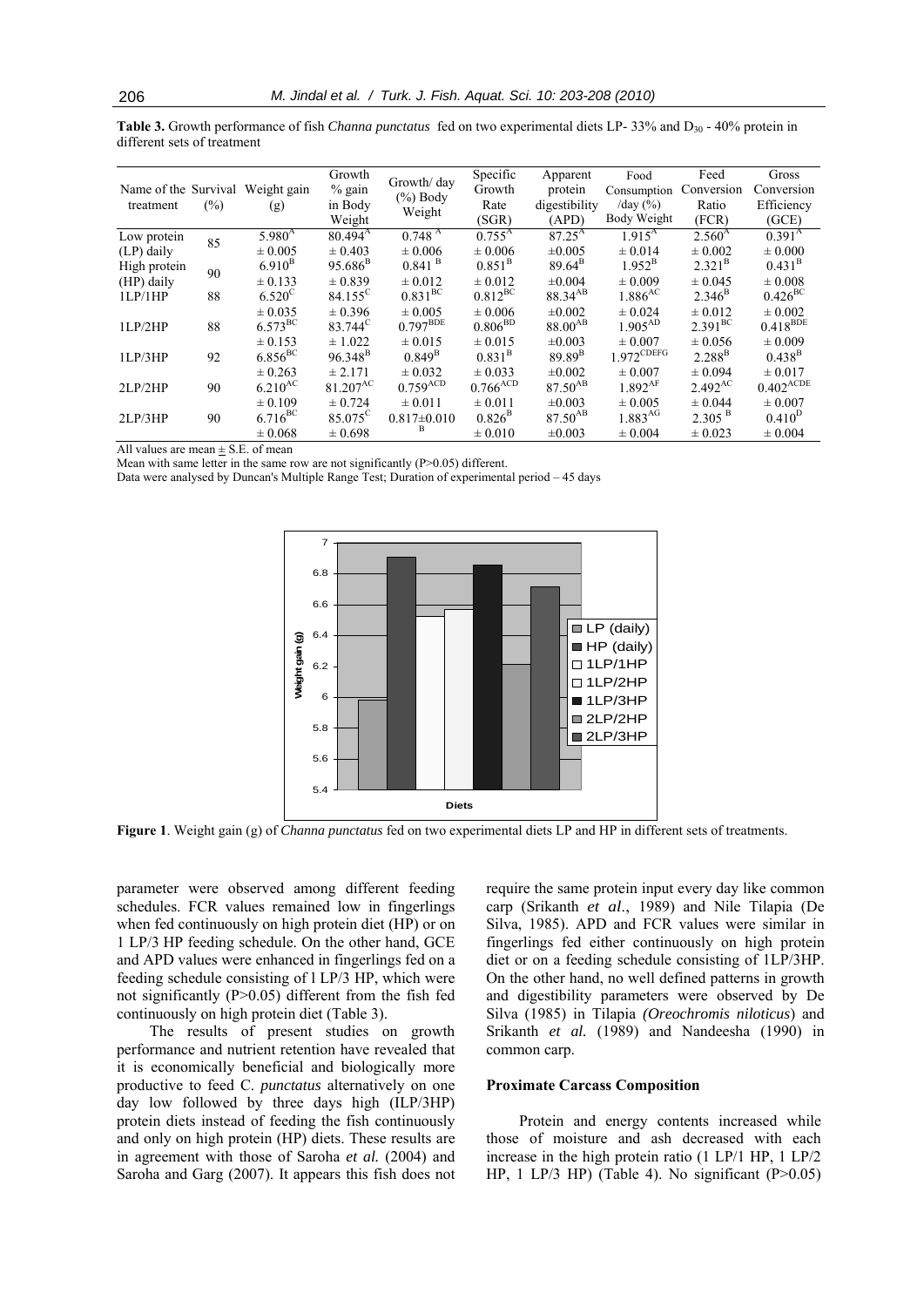**Table 3.** Growth performance of fish *Channa punctatus* fed on two experimental diets LP- 33% and D<sub>30</sub> - 40% protein in different sets of treatment

|                      |        |                       | Growth               | Growth/day             | Specific               | Apparent        | Food                  | Feed               | Gross                  |
|----------------------|--------|-----------------------|----------------------|------------------------|------------------------|-----------------|-----------------------|--------------------|------------------------|
| Name of the Survival |        | Weight gain           | $%$ gain             | $(\%)$ Body            | Growth                 | protein         | Consumption           | Conversion         | Conversion             |
| treatment            | $(\%)$ | (g)                   | in Body              |                        | Rate                   | digestibility   | /day $(\% )$          | Ratio              | Efficiency             |
|                      |        |                       | Weight               | Weight                 | (SGR)                  | (APD)           | Body Weight           | (FCR)              | (GCE)                  |
| Low protein          | 85     | $5.980^{A}$           | $80.494^{\rm A}$     | 0.748 <sup>A</sup>     | $0.755^{\rm A}$        | $87.25^{\rm A}$ | $1.915^{A}$           | $2.560^{A}$        | 0.391 <sup>A</sup>     |
| (LP) daily           |        | $\pm 0.005$           | $\pm 0.403$          | $\pm 0.006$            | $\pm 0.006$            | $\pm 0.005$     | $\pm 0.014$           | $\pm 0.002$        | $\pm 0.000$            |
| High protein         | 90     | $6.910^{B}$           | $95.686^{B}$         | $0.841$ <sup>B</sup>   | $0.851^{\rm B}$        | $89.64^{\rm B}$ | $1.952^{\rm B}$       | $2.321^{\rm B}$    | $0.431^{\rm B}$        |
| (HP) daily           |        | $\pm 0.133$           | $\pm 0.839$          | $\pm 0.012$            | $\pm 0.012$            | ±0.004          | $\pm 0.009$           | $\pm 0.045$        | $\pm 0.008$            |
| 1LP/1HP              | 88     | $6.520^{\circ}$       | $84.155^{\circ}$     | $0.831^{\text{BC}}$    | $0.812^{\rm BC}$       | $88.34^{AB}$    | $1.886$ <sup>AC</sup> | $2.346^{\rm B}$    | $0.426^{\text{BC}}$    |
|                      |        | $\pm 0.035$           | $\pm 0.396$          | $\pm 0.005$            | $\pm 0.006$            | $\pm 0.002$     | $\pm 0.024$           | $\pm 0.012$        | $\pm 0.002$            |
| 1LP/2HP              | 88     | $6.573^{\rm BC}$      | 83.744 <sup>C</sup>  | $0.797^{\text{BDE}}$   | 0.806 <sup>BD</sup>    | $88.00^{AB}$    | $1.905^{AD}$          | $2.391^{BC}$       | $0.418$ <sup>BDE</sup> |
|                      |        | $\pm 0.153$           | ± 1.022              | ± 0.015                | $\pm 0.015$            | $\pm 0.003$     | $\pm 0.007$           | $\pm 0.056$        | $\pm 0.009$            |
| 1LP/3HP              | 92     | $6.856$ <sub>BC</sub> | $96.348^{B}$         | $0.849^{\rm B}$        | $0.831^{B}$            | $89.89^{B}$     | $1.972$ CDEFG         | $2.288^{B}$        | $0.438^{\rm B}$        |
|                      |        | $\pm 0.263$           | ± 2.171              | $\pm 0.032$            | $\pm 0.033$            | $\pm 0.002$     | $\pm 0.007$           | $\pm 0.094$        | $\pm 0.017$            |
| 2LP/2HP              | 90     | $6.210^{AC}$          | 81.207 <sup>AC</sup> | $0.759$ <sup>ACD</sup> | $0.766$ <sup>ACD</sup> | $87.50^{AB}$    | $1.892$ <sup>AF</sup> | $2.492^{AC}$       | $0.402^{\text{ACDE}}$  |
|                      |        | $\pm 0.109$           | $\pm 0.724$          | $\pm 0.011$            | $\pm 0.011$            | $\pm 0.003$     | $\pm 0.005$           | $\pm 0.044$        | $\pm 0.007$            |
| 2LP/3HP              | 90     | $6.716^{BC}$          | 85.075 <sup>C</sup>  | $0.817\pm0.010$        | $0.826^{\rm B}$        | $87.50^{AB}$    | 1.883 <sup>AG</sup>   | 2.305 <sup>B</sup> | $0.410^{D}$            |
|                      |        | $\pm 0.068$           | $\pm 0.698$          | B                      | $\pm 0.010$            | $\pm 0.003$     | $\pm 0.004$           | $\pm 0.023$        | $\pm 0.004$            |

All values are mean  $\pm$  S.E. of mean

Mean with same letter in the same row are not significantly (P>0.05) different.

Data were analysed by Duncan's Multiple Range Test; Duration of experimental period – 45 days



**Figure 1**. Weight gain (g) of *Channa punctatus* fed on two experimental diets LP and HP in different sets of treatments.

parameter were observed among different feeding schedules. FCR values remained low in fingerlings when fed continuously on high protein diet (HP) or on 1 LP/3 HP feeding schedule. On the other hand, GCE and APD values were enhanced in fingerlings fed on a feeding schedule consisting of l LP/3 HP, which were not significantly (P>0.05) different from the fish fed continuously on high protein diet (Table 3).

The results of present studies on growth performance and nutrient retention have revealed that it is economically beneficial and biologically more productive to feed C. *punctatus* alternatively on one day low followed by three days high (ILP/3HP) protein diets instead of feeding the fish continuously and only on high protein (HP) diets. These results are in agreement with those of Saroha *et al.* (2004) and Saroha and Garg (2007). It appears this fish does not require the same protein input every day like common carp (Srikanth *et al*., 1989) and Nile Tilapia (De Silva, 1985). APD and FCR values were similar in fingerlings fed either continuously on high protein diet or on a feeding schedule consisting of 1LP/3HP. On the other hand, no well defined patterns in growth and digestibility parameters were observed by De Silva (1985) in Tilapia *(Oreochromis niloticus*) and Srikanth *et al.* (1989) and Nandeesha (1990) in common carp.

#### **Proximate Carcass Composition**

Protein and energy contents increased while those of moisture and ash decreased with each increase in the high protein ratio (1 LP/1 HP, 1 LP/2 HP, 1 LP/3 HP) (Table 4). No significant  $(P>0.05)$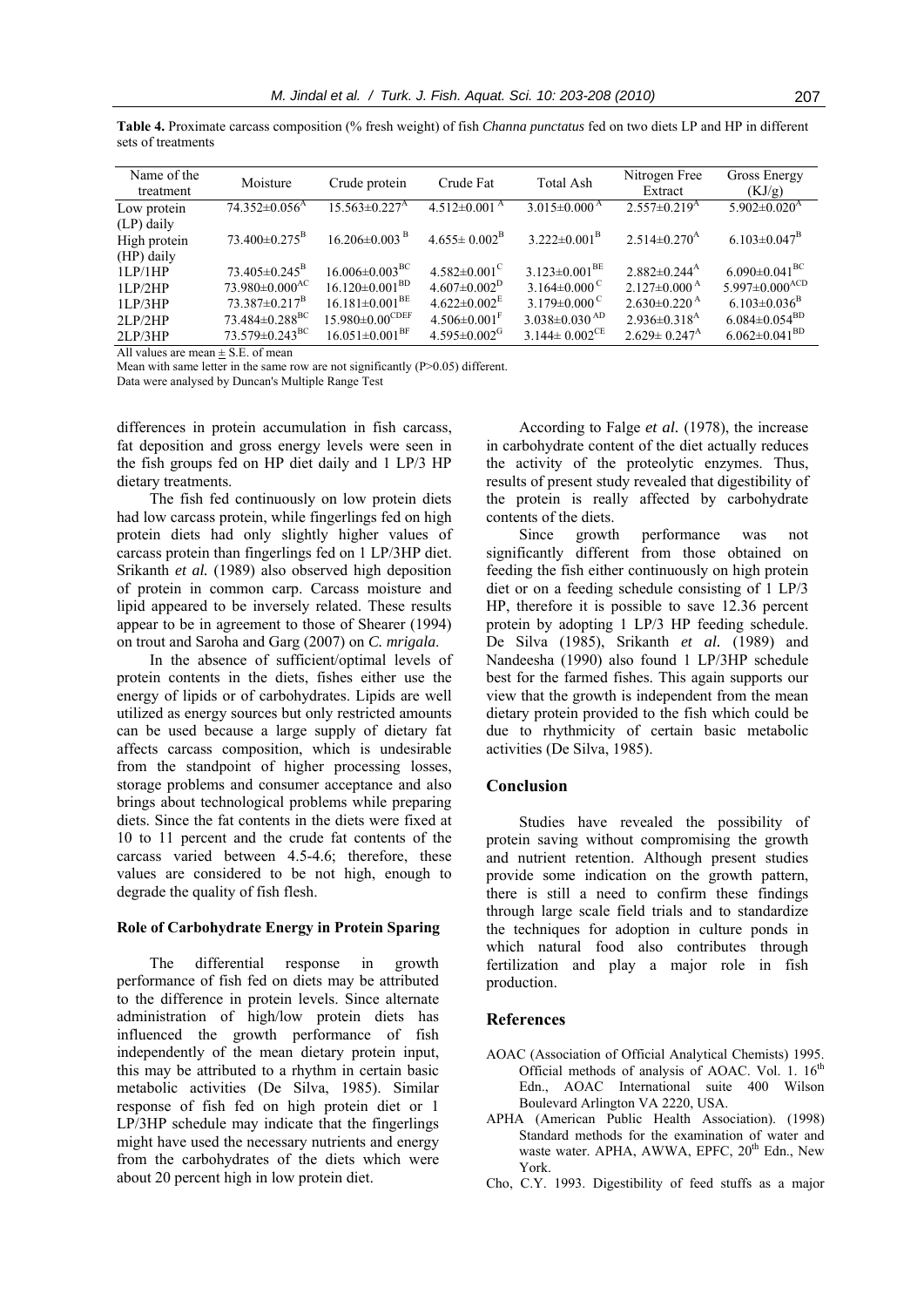| Name of the<br>treatment | Moisture                         | Crude protein                    | Crude Fat                      | Total Ash                       | Nitrogen Free<br>Extract       | Gross Energy<br>(KJ/g)           |
|--------------------------|----------------------------------|----------------------------------|--------------------------------|---------------------------------|--------------------------------|----------------------------------|
| Low protein              | $74.352\pm0.056$ <sup>A</sup>    | $15.563 \pm 0.227$ <sup>A</sup>  | $4.512\pm0.001^{\text{A}}$     | $3.015 \pm 0.000$ <sup>A</sup>  | $2.557 \pm 0.219$ <sup>A</sup> | $5.902 \pm 0.020$ <sup>A</sup>   |
| (LP) daily               |                                  |                                  |                                |                                 |                                |                                  |
| High protein             | $73.400 \pm 0.275^{\rm B}$       | $16.206 \pm 0.003$ <sup>B</sup>  | $4.655 \pm 0.002^{\rm B}$      | $3.222 \pm 0.001^{\mathrm{B}}$  | $2.514\pm0.270^{\rm A}$        | $6.103 \pm 0.047^{\rm B}$        |
| (HP) daily               |                                  |                                  |                                |                                 |                                |                                  |
| 1LP/1HP                  | $73.405 \pm 0.245^{\mathrm{B}}$  | $16.006 \pm 0.003$ <sup>BC</sup> | $4.582 \pm 0.001$ <sup>C</sup> | $3.123 \pm 0.001^{BE}$          | $2.882\pm0.244^{\rm A}$        | 6.090 $\pm$ 0.041 <sup>BC</sup>  |
| 11.P/2HP                 | $73.980\pm0.000$ <sup>AC</sup>   | $16.120\pm0.001^{BD}$            | $4.607\pm0.002^{\rm D}$        | 3.164 $\pm$ 0.000 <sup>°</sup>  | $2.127\pm0.000^{\mathrm{A}}$   | 5.997 $\pm$ 0.000 <sup>ACD</sup> |
| 11.P/3HP                 | $73.387 \pm 0.217^{\mathrm{B}}$  | $16.181 \pm 0.001^{BE}$          | $4.622 \pm 0.002^{\mathrm{E}}$ | 3.179 $\pm$ 0.000 <sup>°</sup>  | $2.630\pm0.220$ <sup>A</sup>   | $6.103 \pm 0.036$ <sup>B</sup>   |
| 2LP/2HP                  | $73.484 \pm 0.288$ <sup>BC</sup> | $15.980\pm0.00^{\text{CDEF}}$    | $4.506 \pm 0.001$ <sup>F</sup> | $3.038 \pm 0.030$ <sup>AD</sup> | $2.936 \pm 0.318$ <sup>A</sup> | $6.084 \pm 0.054$ <sup>BD</sup>  |
| 2LP/3HP                  | $73.579 \pm 0.243$ <sup>BC</sup> | $16.051 \pm 0.001$ <sup>BF</sup> | $4.595 \pm 0.002$ <sup>G</sup> | $3.144 \pm 0.002^{\text{CE}}$   | $2.629 \pm 0.247$ <sup>A</sup> | $6.062 \pm 0.041$ <sup>BD</sup>  |

**Table 4.** Proximate carcass composition (% fresh weight) of fish *Channa punctatus* fed on two diets LP and HP in different sets of treatments

All values are mean  $\pm$  S.E. of mean

Mean with same letter in the same row are not significantly  $(P>0.05)$  different.

Data were analysed by Duncan's Multiple Range Test

differences in protein accumulation in fish carcass, fat deposition and gross energy levels were seen in the fish groups fed on HP diet daily and 1 LP/3 HP dietary treatments.

The fish fed continuously on low protein diets had low carcass protein, while fingerlings fed on high protein diets had only slightly higher values of carcass protein than fingerlings fed on 1 LP/3HP diet. Srikanth *et al.* (1989) also observed high deposition of protein in common carp. Carcass moisture and lipid appeared to be inversely related. These results appear to be in agreement to those of Shearer (1994) on trout and Saroha and Garg (2007) on *C. mrigala*.

In the absence of sufficient/optimal levels of protein contents in the diets, fishes either use the energy of lipids or of carbohydrates. Lipids are well utilized as energy sources but only restricted amounts can be used because a large supply of dietary fat affects carcass composition, which is undesirable from the standpoint of higher processing losses, storage problems and consumer acceptance and also brings about technological problems while preparing diets. Since the fat contents in the diets were fixed at 10 to 11 percent and the crude fat contents of the carcass varied between 4.5-4.6; therefore, these values are considered to be not high, enough to degrade the quality of fish flesh.

#### **Role of Carbohydrate Energy in Protein Sparing**

The differential response in growth performance of fish fed on diets may be attributed to the difference in protein levels. Since alternate administration of high/low protein diets has influenced the growth performance of fish independently of the mean dietary protein input, this may be attributed to a rhythm in certain basic metabolic activities (De Silva, 1985). Similar response of fish fed on high protein diet or 1 LP/3HP schedule may indicate that the fingerlings might have used the necessary nutrients and energy from the carbohydrates of the diets which were about 20 percent high in low protein diet.

According to Falge *et al.* (1978), the increase in carbohydrate content of the diet actually reduces the activity of the proteolytic enzymes. Thus, results of present study revealed that digestibility of the protein is really affected by carbohydrate contents of the diets.

Since growth performance was not significantly different from those obtained on feeding the fish either continuously on high protein diet or on a feeding schedule consisting of 1 LP/3 HP, therefore it is possible to save 12.36 percent protein by adopting 1 LP/3 HP feeding schedule. De Silva (1985), Srikanth *et al.* (1989) and Nandeesha (1990) also found 1 LP/3HP schedule best for the farmed fishes. This again supports our view that the growth is independent from the mean dietary protein provided to the fish which could be due to rhythmicity of certain basic metabolic activities (De Silva, 1985).

### **Conclusion**

Studies have revealed the possibility of protein saving without compromising the growth and nutrient retention. Although present studies provide some indication on the growth pattern, there is still a need to confirm these findings through large scale field trials and to standardize the techniques for adoption in culture ponds in which natural food also contributes through fertilization and play a major role in fish production.

## **References**

- AOAC (Association of Official Analytical Chemists) 1995. Official methods of analysis of AOAC. Vol. 1. 16<sup>th</sup> Edn., AOAC International suite 400 Wilson Boulevard Arlington VA 2220, USA.
- APHA (American Public Health Association). (1998) Standard methods for the examination of water and waste water. APHA, AWWA, EPFC, 20<sup>th</sup> Edn., New York.
- Cho, C.Y. 1993. Digestibility of feed stuffs as a major